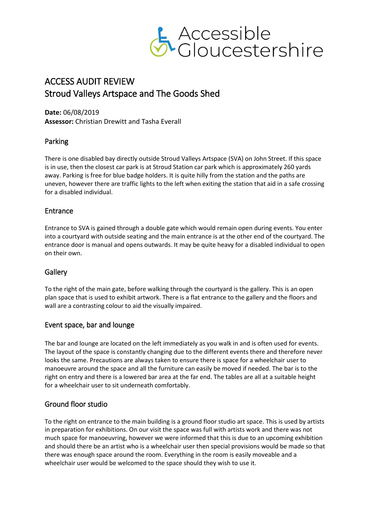

# ACCESS AUDIT REVIEW Stroud Valleys Artspace and The Goods Shed

**Date:** 06/08/2019 **Assessor:** Christian Drewitt and Tasha Everall

## Parking

There is one disabled bay directly outside Stroud Valleys Artspace (SVA) on John Street. If this space is in use, then the closest car park is at Stroud Station car park which is approximately 260 yards away. Parking is free for blue badge holders. It is quite hilly from the station and the paths are uneven, however there are traffic lights to the left when exiting the station that aid in a safe crossing for a disabled individual.

### Entrance

Entrance to SVA is gained through a double gate which would remain open during events. You enter into a courtyard with outside seating and the main entrance is at the other end of the courtyard. The entrance door is manual and opens outwards. It may be quite heavy for a disabled individual to open on their own.

### **Gallery**

To the right of the main gate, before walking through the courtyard is the gallery. This is an open plan space that is used to exhibit artwork. There is a flat entrance to the gallery and the floors and wall are a contrasting colour to aid the visually impaired.

### Event space, bar and lounge

The bar and lounge are located on the left immediately as you walk in and is often used for events. The layout of the space is constantly changing due to the different events there and therefore never looks the same. Precautions are always taken to ensure there is space for a wheelchair user to manoeuvre around the space and all the furniture can easily be moved if needed. The bar is to the right on entry and there is a lowered bar area at the far end. The tables are all at a suitable height for a wheelchair user to sit underneath comfortably.

### Ground floor studio

To the right on entrance to the main building is a ground floor studio art space. This is used by artists in preparation for exhibitions. On our visit the space was full with artists work and there was not much space for manoeuvring, however we were informed that this is due to an upcoming exhibition and should there be an artist who is a wheelchair user then special provisions would be made so that there was enough space around the room. Everything in the room is easily moveable and a wheelchair user would be welcomed to the space should they wish to use it.